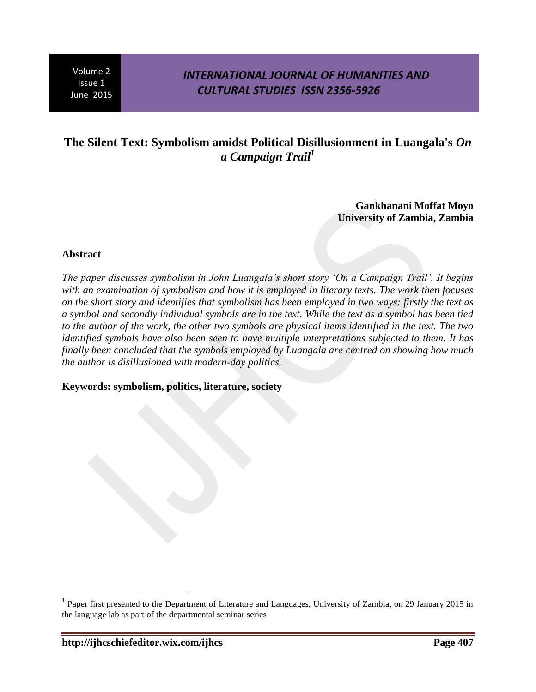## *INTERNATIONAL JOURNAL OF HUMANITIES AND CULTURAL STUDIES ISSN 2356-5926*

# **The Silent Text: Symbolism amidst Political Disillusionment in Luangala's** *On a Campaign Trail<sup>1</sup>*

**Gankhanani Moffat Moyo University of Zambia, Zambia**

### **Abstract**

 $\overline{a}$ 

*The paper discusses symbolism in John Luangala's short story 'On a Campaign Trail'. It begins with an examination of symbolism and how it is employed in literary texts. The work then focuses on the short story and identifies that symbolism has been employed in two ways: firstly the text as a symbol and secondly individual symbols are in the text. While the text as a symbol has been tied to the author of the work, the other two symbols are physical items identified in the text. The two identified symbols have also been seen to have multiple interpretations subjected to them. It has finally been concluded that the symbols employed by Luangala are centred on showing how much the author is disillusioned with modern-day politics.*

### **Keywords: symbolism, politics, literature, society**

<sup>&</sup>lt;sup>1</sup> Paper first presented to the Department of Literature and Languages, University of Zambia, on 29 January 2015 in the language lab as part of the departmental seminar series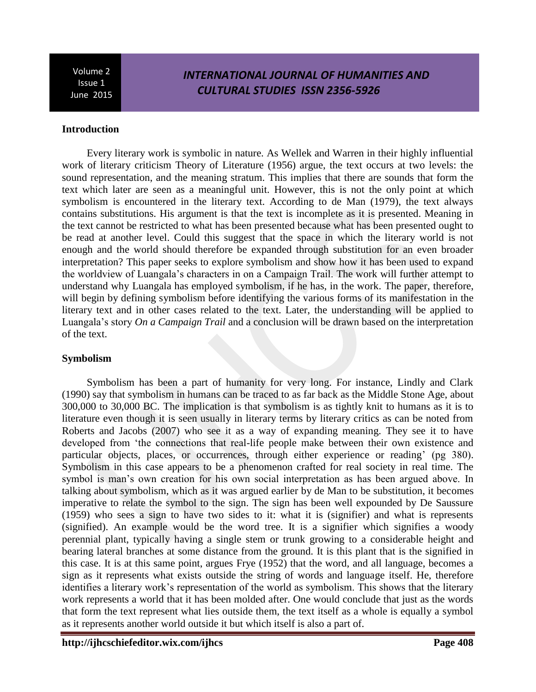# *INTERNATIONAL JOURNAL OF HUMANITIES AND CULTURAL STUDIES ISSN 2356-5926*

### **Introduction**

Every literary work is symbolic in nature. As Wellek and Warren in their highly influential work of literary criticism Theory of Literature (1956) argue, the text occurs at two levels: the sound representation, and the meaning stratum. This implies that there are sounds that form the text which later are seen as a meaningful unit. However, this is not the only point at which symbolism is encountered in the literary text. According to de Man (1979), the text always contains substitutions. His argument is that the text is incomplete as it is presented. Meaning in the text cannot be restricted to what has been presented because what has been presented ought to be read at another level. Could this suggest that the space in which the literary world is not enough and the world should therefore be expanded through substitution for an even broader interpretation? This paper seeks to explore symbolism and show how it has been used to expand the worldview of Luangala's characters in on a Campaign Trail. The work will further attempt to understand why Luangala has employed symbolism, if he has, in the work. The paper, therefore, will begin by defining symbolism before identifying the various forms of its manifestation in the literary text and in other cases related to the text. Later, the understanding will be applied to Luangala's story *On a Campaign Trail* and a conclusion will be drawn based on the interpretation of the text.

### **Symbolism**

Symbolism has been a part of humanity for very long. For instance, Lindly and Clark (1990) say that symbolism in humans can be traced to as far back as the Middle Stone Age, about 300,000 to 30,000 BC. The implication is that symbolism is as tightly knit to humans as it is to literature even though it is seen usually in literary terms by literary critics as can be noted from Roberts and Jacobs (2007) who see it as a way of expanding meaning. They see it to have developed from 'the connections that real-life people make between their own existence and particular objects, places, or occurrences, through either experience or reading' (pg 380). Symbolism in this case appears to be a phenomenon crafted for real society in real time. The symbol is man's own creation for his own social interpretation as has been argued above. In talking about symbolism, which as it was argued earlier by de Man to be substitution, it becomes imperative to relate the symbol to the sign. The sign has been well expounded by De Saussure (1959) who sees a sign to have two sides to it: what it is (signifier) and what is represents (signified). An example would be the word tree. It is a signifier which signifies a [woody](http://www.oxforddictionaries.com/definition/english/woody) [perennial](http://www.oxforddictionaries.com/definition/english/perennial) [plant,](http://www.oxforddictionaries.com/definition/english/plant) typically having a [single](http://www.oxforddictionaries.com/definition/english/single) [stem](http://www.oxforddictionaries.com/definition/english/stem#stem) or [trunk](http://www.oxforddictionaries.com/definition/english/trunk) growing to a [considerable](http://www.oxforddictionaries.com/definition/english/considerable) [height](http://www.oxforddictionaries.com/definition/english/height) and bearing [lateral](http://www.oxforddictionaries.com/definition/english/lateral) [branches](http://www.oxforddictionaries.com/definition/english/branch) at some [distance](http://www.oxforddictionaries.com/definition/english/distance) from the ground. It is this plant that is the signified in this case. It is at this same point, argues Frye (1952) that the word, and all language, becomes a sign as it represents what exists outside the string of words and language itself. He, therefore identifies a literary work's representation of the world as symbolism. This shows that the literary work represents a world that it has been molded after. One would conclude that just as the words that form the text represent what lies outside them, the text itself as a whole is equally a symbol as it represents another world outside it but which itself is also a part of.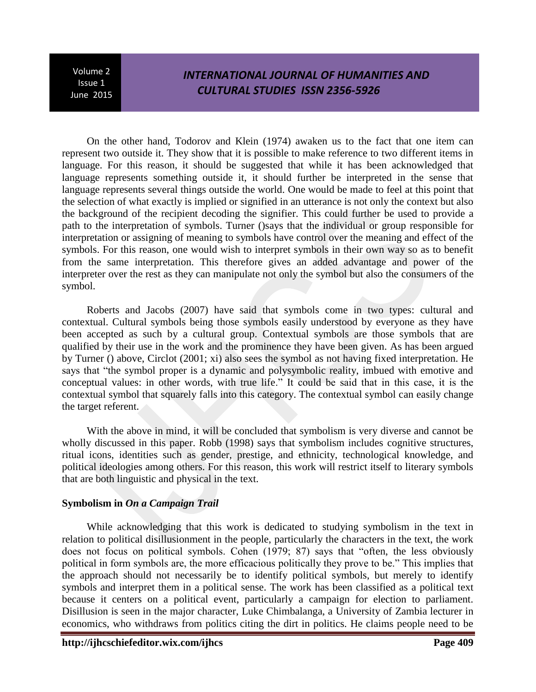# *INTERNATIONAL JOURNAL OF HUMANITIES AND CULTURAL STUDIES ISSN 2356-5926*

On the other hand, Todorov and Klein (1974) awaken us to the fact that one item can represent two outside it. They show that it is possible to make reference to two different items in language. For this reason, it should be suggested that while it has been acknowledged that language represents something outside it, it should further be interpreted in the sense that language represents several things outside the world. One would be made to feel at this point that the selection of what exactly is implied or signified in an utterance is not only the context but also the background of the recipient decoding the signifier. This could further be used to provide a path to the interpretation of symbols. Turner ()says that the individual or group responsible for interpretation or assigning of meaning to symbols have control over the meaning and effect of the symbols. For this reason, one would wish to interpret symbols in their own way so as to benefit from the same interpretation. This therefore gives an added advantage and power of the interpreter over the rest as they can manipulate not only the symbol but also the consumers of the symbol.

Roberts and Jacobs (2007) have said that symbols come in two types: cultural and contextual. Cultural symbols being those symbols easily understood by everyone as they have been accepted as such by a cultural group. Contextual symbols are those symbols that are qualified by their use in the work and the prominence they have been given. As has been argued by Turner () above, Circlot (2001; xi) also sees the symbol as not having fixed interpretation. He says that "the symbol proper is a dynamic and polysymbolic reality, imbued with emotive and conceptual values: in other words, with true life." It could be said that in this case, it is the contextual symbol that squarely falls into this category. The contextual symbol can easily change the target referent.

With the above in mind, it will be concluded that symbolism is very diverse and cannot be wholly discussed in this paper. Robb (1998) says that symbolism includes cognitive structures, ritual icons, identities such as gender, prestige, and ethnicity, technological knowledge, and political ideologies among others. For this reason, this work will restrict itself to literary symbols that are both linguistic and physical in the text.

### **Symbolism in** *On a Campaign Trail*

While acknowledging that this work is dedicated to studying symbolism in the text in relation to political disillusionment in the people, particularly the characters in the text, the work does not focus on political symbols. Cohen (1979; 87) says that "often, the less obviously political in form symbols are, the more efficacious politically they prove to be." This implies that the approach should not necessarily be to identify political symbols, but merely to identify symbols and interpret them in a political sense. The work has been classified as a political text because it centers on a political event, particularly a campaign for election to parliament. Disillusion is seen in the major character, Luke Chimbalanga, a University of Zambia lecturer in economics, who withdraws from politics citing the dirt in politics. He claims people need to be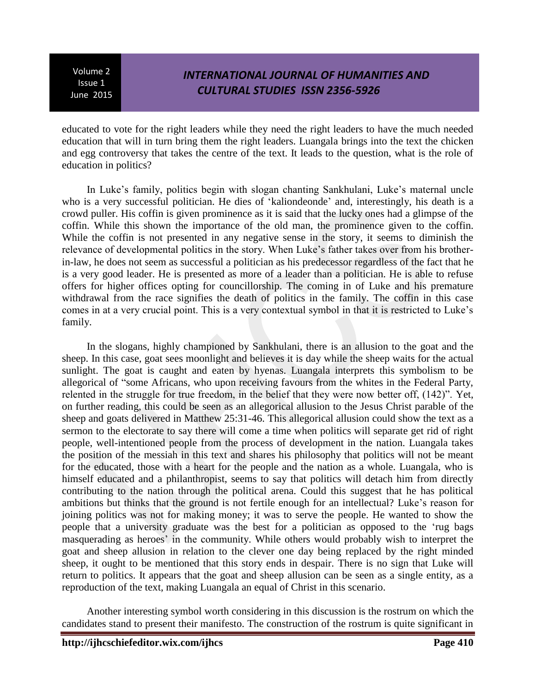# *INTERNATIONAL JOURNAL OF HUMANITIES AND CULTURAL STUDIES ISSN 2356-5926*

educated to vote for the right leaders while they need the right leaders to have the much needed education that will in turn bring them the right leaders. Luangala brings into the text the chicken and egg controversy that takes the centre of the text. It leads to the question, what is the role of education in politics?

In Luke's family, politics begin with slogan chanting Sankhulani, Luke's maternal uncle who is a very successful politician. He dies of 'kaliondeonde' and, interestingly, his death is a crowd puller. His coffin is given prominence as it is said that the lucky ones had a glimpse of the coffin. While this shown the importance of the old man, the prominence given to the coffin. While the coffin is not presented in any negative sense in the story, it seems to diminish the relevance of developmental politics in the story. When Luke's father takes over from his brotherin-law, he does not seem as successful a politician as his predecessor regardless of the fact that he is a very good leader. He is presented as more of a leader than a politician. He is able to refuse offers for higher offices opting for councillorship. The coming in of Luke and his premature withdrawal from the race signifies the death of politics in the family. The coffin in this case comes in at a very crucial point. This is a very contextual symbol in that it is restricted to Luke's family.

In the slogans, highly championed by Sankhulani, there is an allusion to the goat and the sheep. In this case, goat sees moonlight and believes it is day while the sheep waits for the actual sunlight. The goat is caught and eaten by hyenas. Luangala interprets this symbolism to be allegorical of "some Africans, who upon receiving favours from the whites in the Federal Party, relented in the struggle for true freedom, in the belief that they were now better off, (142)". Yet, on further reading, this could be seen as an allegorical allusion to the Jesus Christ parable of the sheep and goats delivered in Matthew 25:31-46. This allegorical allusion could show the text as a sermon to the electorate to say there will come a time when politics will separate get rid of right people, well-intentioned people from the process of development in the nation. Luangala takes the position of the messiah in this text and shares his philosophy that politics will not be meant for the educated, those with a heart for the people and the nation as a whole. Luangala, who is himself educated and a philanthropist, seems to say that politics will detach him from directly contributing to the nation through the political arena. Could this suggest that he has political ambitions but thinks that the ground is not fertile enough for an intellectual? Luke's reason for joining politics was not for making money; it was to serve the people. He wanted to show the people that a university graduate was the best for a politician as opposed to the 'rug bags masquerading as heroes' in the community. While others would probably wish to interpret the goat and sheep allusion in relation to the clever one day being replaced by the right minded sheep, it ought to be mentioned that this story ends in despair. There is no sign that Luke will return to politics. It appears that the goat and sheep allusion can be seen as a single entity, as a reproduction of the text, making Luangala an equal of Christ in this scenario.

Another interesting symbol worth considering in this discussion is the rostrum on which the candidates stand to present their manifesto. The construction of the rostrum is quite significant in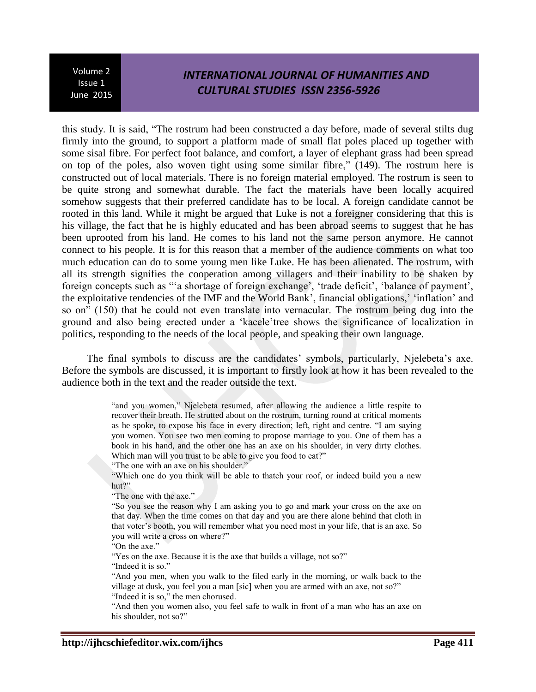## *INTERNATIONAL JOURNAL OF HUMANITIES AND CULTURAL STUDIES ISSN 2356-5926*

this study. It is said, "The rostrum had been constructed a day before, made of several stilts dug firmly into the ground, to support a platform made of small flat poles placed up together with some sisal fibre. For perfect foot balance, and comfort, a layer of elephant grass had been spread on top of the poles, also woven tight using some similar fibre," (149). The rostrum here is constructed out of local materials. There is no foreign material employed. The rostrum is seen to be quite strong and somewhat durable. The fact the materials have been locally acquired somehow suggests that their preferred candidate has to be local. A foreign candidate cannot be rooted in this land. While it might be argued that Luke is not a foreigner considering that this is his village, the fact that he is highly educated and has been abroad seems to suggest that he has been uprooted from his land. He comes to his land not the same person anymore. He cannot connect to his people. It is for this reason that a member of the audience comments on what too much education can do to some young men like Luke. He has been alienated. The rostrum, with all its strength signifies the cooperation among villagers and their inability to be shaken by foreign concepts such as "'a shortage of foreign exchange', 'trade deficit', 'balance of payment', the exploitative tendencies of the IMF and the World Bank', financial obligations,' 'inflation' and so on" (150) that he could not even translate into vernacular. The rostrum being dug into the ground and also being erected under a 'kacele'tree shows the significance of localization in politics, responding to the needs of the local people, and speaking their own language.

The final symbols to discuss are the candidates' symbols, particularly, Njelebeta's axe. Before the symbols are discussed, it is important to firstly look at how it has been revealed to the audience both in the text and the reader outside the text.

> "and you women," Njelebeta resumed, after allowing the audience a little respite to recover their breath. He strutted about on the rostrum, turning round at critical moments as he spoke, to expose his face in every direction; left, right and centre. "I am saying you women. You see two men coming to propose marriage to you. One of them has a book in his hand, and the other one has an axe on his shoulder, in very dirty clothes. Which man will you trust to be able to give you food to eat?"

"The one with an axe on his shoulder."

"Which one do you think will be able to thatch your roof, or indeed build you a new hut?"

"The one with the axe."

"So you see the reason why I am asking you to go and mark your cross on the axe on that day. When the time comes on that day and you are there alone behind that cloth in that voter's booth, you will remember what you need most in your life, that is an axe. So you will write a cross on where?"

"On the axe."

"Yes on the axe. Because it is the axe that builds a village, not so?"

"Indeed it is so."

"And you men, when you walk to the filed early in the morning, or walk back to the village at dusk, you feel you a man [sic] when you are armed with an axe, not so?" "Indeed it is so," the men chorused.

"And then you women also, you feel safe to walk in front of a man who has an axe on his shoulder, not so?"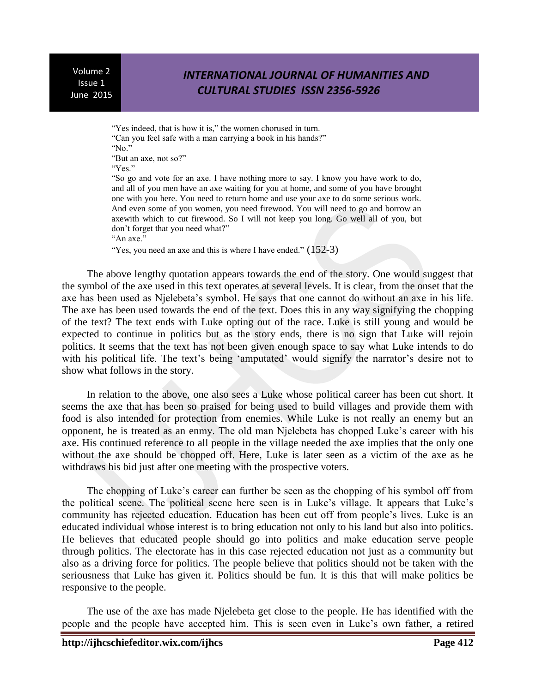## *INTERNATIONAL JOURNAL OF HUMANITIES AND CULTURAL STUDIES ISSN 2356-5926*

"Yes indeed, that is how it is," the women chorused in turn. "Can you feel safe with a man carrying a book in his hands?" "No."

"But an axe, not so?"

"Yes."

"So go and vote for an axe. I have nothing more to say. I know you have work to do, and all of you men have an axe waiting for you at home, and some of you have brought one with you here. You need to return home and use your axe to do some serious work. And even some of you women, you need firewood. You will need to go and borrow an axewith which to cut firewood. So I will not keep you long. Go well all of you, but don't forget that you need what?" "An axe."

"Yes, you need an axe and this is where I have ended."  $(152-3)$ 

The above lengthy quotation appears towards the end of the story. One would suggest that the symbol of the axe used in this text operates at several levels. It is clear, from the onset that the axe has been used as Njelebeta's symbol. He says that one cannot do without an axe in his life. The axe has been used towards the end of the text. Does this in any way signifying the chopping of the text? The text ends with Luke opting out of the race. Luke is still young and would be expected to continue in politics but as the story ends, there is no sign that Luke will rejoin politics. It seems that the text has not been given enough space to say what Luke intends to do with his political life. The text's being 'amputated' would signify the narrator's desire not to show what follows in the story.

In relation to the above, one also sees a Luke whose political career has been cut short. It seems the axe that has been so praised for being used to build villages and provide them with food is also intended for protection from enemies. While Luke is not really an enemy but an opponent, he is treated as an enmy. The old man Njelebeta has chopped Luke's career with his axe. His continued reference to all people in the village needed the axe implies that the only one without the axe should be chopped off. Here, Luke is later seen as a victim of the axe as he withdraws his bid just after one meeting with the prospective voters.

The chopping of Luke's career can further be seen as the chopping of his symbol off from the political scene. The political scene here seen is in Luke's village. It appears that Luke's community has rejected education. Education has been cut off from people's lives. Luke is an educated individual whose interest is to bring education not only to his land but also into politics. He believes that educated people should go into politics and make education serve people through politics. The electorate has in this case rejected education not just as a community but also as a driving force for politics. The people believe that politics should not be taken with the seriousness that Luke has given it. Politics should be fun. It is this that will make politics be responsive to the people.

The use of the axe has made Njelebeta get close to the people. He has identified with the people and the people have accepted him. This is seen even in Luke's own father, a retired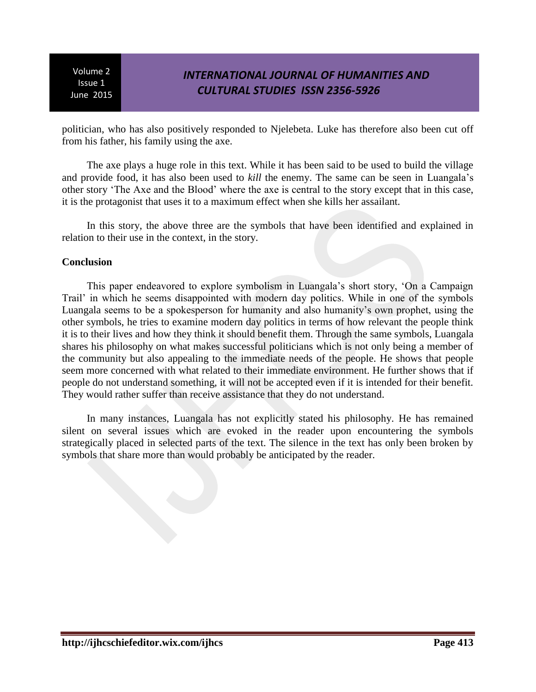# *INTERNATIONAL JOURNAL OF HUMANITIES AND CULTURAL STUDIES ISSN 2356-5926*

politician, who has also positively responded to Njelebeta. Luke has therefore also been cut off from his father, his family using the axe.

The axe plays a huge role in this text. While it has been said to be used to build the village and provide food, it has also been used to *kill* the enemy. The same can be seen in Luangala's other story 'The Axe and the Blood' where the axe is central to the story except that in this case, it is the protagonist that uses it to a maximum effect when she kills her assailant.

In this story, the above three are the symbols that have been identified and explained in relation to their use in the context, in the story.

### **Conclusion**

This paper endeavored to explore symbolism in Luangala's short story, 'On a Campaign Trail' in which he seems disappointed with modern day politics. While in one of the symbols Luangala seems to be a spokesperson for humanity and also humanity's own prophet, using the other symbols, he tries to examine modern day politics in terms of how relevant the people think it is to their lives and how they think it should benefit them. Through the same symbols, Luangala shares his philosophy on what makes successful politicians which is not only being a member of the community but also appealing to the immediate needs of the people. He shows that people seem more concerned with what related to their immediate environment. He further shows that if people do not understand something, it will not be accepted even if it is intended for their benefit. They would rather suffer than receive assistance that they do not understand.

In many instances, Luangala has not explicitly stated his philosophy. He has remained silent on several issues which are evoked in the reader upon encountering the symbols strategically placed in selected parts of the text. The silence in the text has only been broken by symbols that share more than would probably be anticipated by the reader.